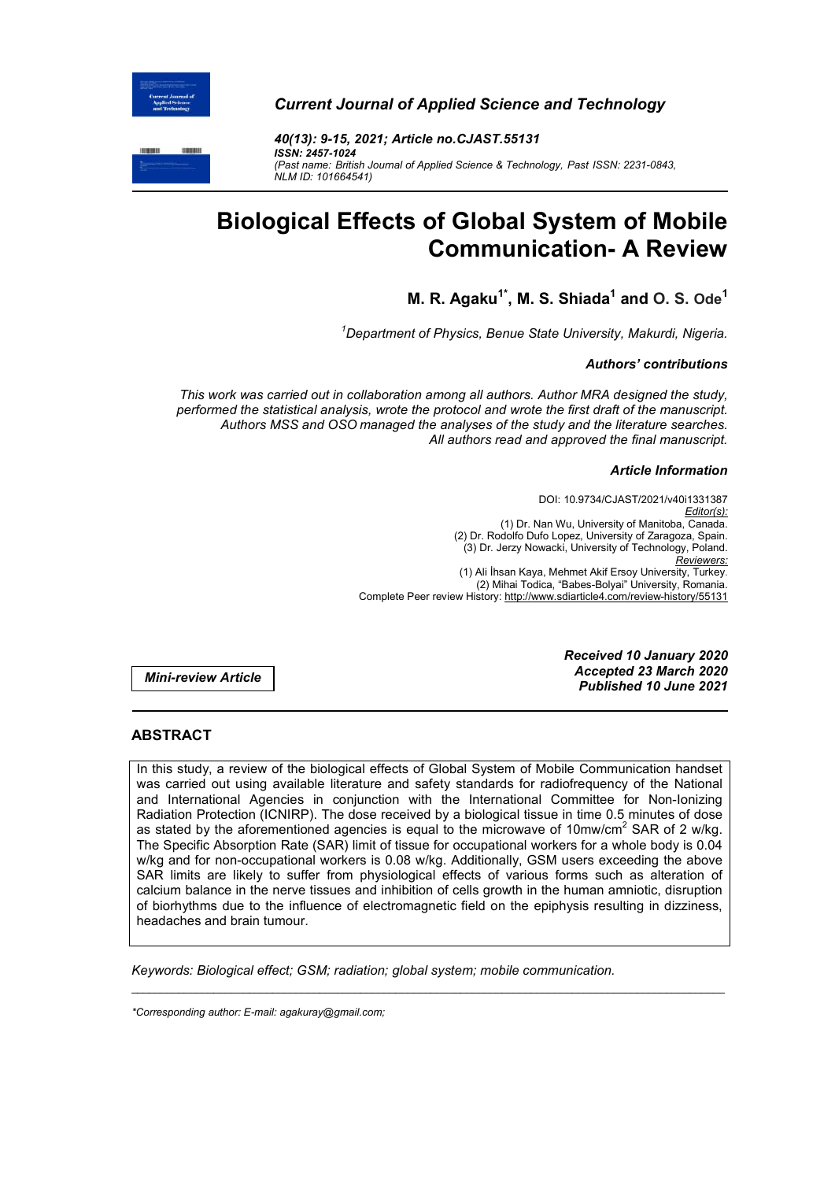

*Current Journal of Applied Science and Technology* 



*40(13): 9-15, 2021; Article no.CJAST.55131 ISSN: 2457-1024 (Past name: British Journal of Applied Science & Technology, Past ISSN: 2231-0843, NLM ID: 101664541)*

# **Biological Effects of Global System of Mobile Communication- A Review**

**M. R. Agaku1\*, M. S. Shiada1 and O. S. Ode<sup>1</sup>**

*1 Department of Physics, Benue State University, Makurdi, Nigeria.*

# *Authors' contributions*

*This work was carried out in collaboration among all authors. Author MRA designed the study, performed the statistical analysis, wrote the protocol and wrote the first draft of the manuscript. Authors MSS and OSO managed the analyses of the study and the literature searches. All authors read and approved the final manuscript.*

#### *Article Information*

DOI: 10.9734/CJAST/2021/v40i1331387 *Editor(s):* (1) Dr. Nan Wu, University of Manitoba, Canada. (2) Dr. Rodolfo Dufo Lopez, University of Zaragoza, Spain. (3) Dr. Jerzy Nowacki, University of Technology, Poland. *Reviewers:* (1) Ali İhsan Kaya, Mehmet Akif Ersoy University, Turkey. (2) Mihai Todica, "Babes-Bolyai" University, Romania. Complete Peer review History: http://www.sdiarticle4.com/review-history/55131

*Mini-review Article*

*Received 10 January 2020 Accepted 23 March 2020 Published 10 June 2021*

# **ABSTRACT**

In this study, a review of the biological effects of Global System of Mobile Communication handset was carried out using available literature and safety standards for radiofrequency of the National and International Agencies in conjunction with the International Committee for Non-Ionizing Radiation Protection (ICNIRP). The dose received by a biological tissue in time 0.5 minutes of dose as stated by the aforementioned agencies is equal to the microwave of 10mw/cm<sup>2</sup> SAR of 2 w/kg. The Specific Absorption Rate (SAR) limit of tissue for occupational workers for a whole body is 0.04 w/kg and for non-occupational workers is 0.08 w/kg. Additionally, GSM users exceeding the above SAR limits are likely to suffer from physiological effects of various forms such as alteration of calcium balance in the nerve tissues and inhibition of cells growth in the human amniotic, disruption of biorhythms due to the influence of electromagnetic field on the epiphysis resulting in dizziness, headaches and brain tumour.

\_\_\_\_\_\_\_\_\_\_\_\_\_\_\_\_\_\_\_\_\_\_\_\_\_\_\_\_\_\_\_\_\_\_\_\_\_\_\_\_\_\_\_\_\_\_\_\_\_\_\_\_\_\_\_\_\_\_\_\_\_\_\_\_\_\_\_\_\_\_\_\_\_\_\_\_\_\_\_\_\_\_\_\_\_\_\_\_\_\_\_\_\_\_\_\_\_\_\_\_\_

*Keywords: Biological effect; GSM; radiation; global system; mobile communication.*

*<sup>\*</sup>Corresponding author: E-mail: agakuray@gmail.com;*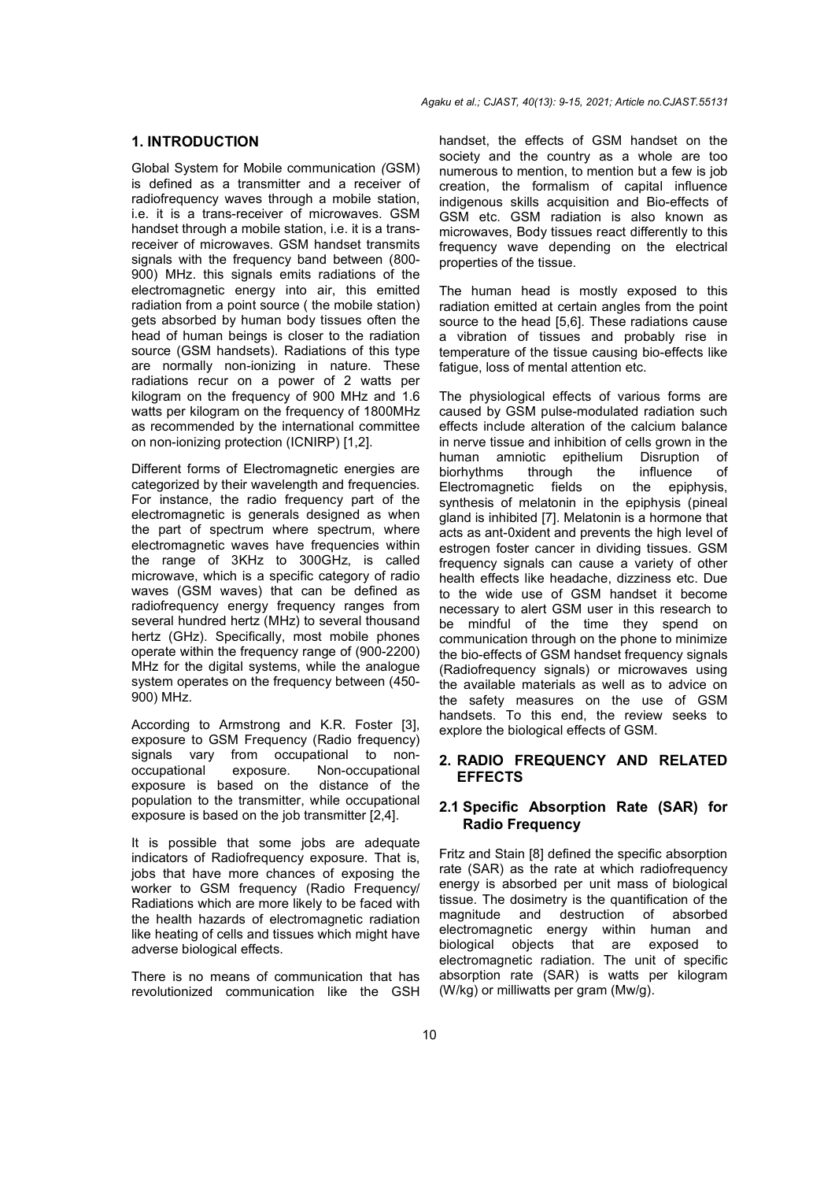#### **1. INTRODUCTION**

Global System for Mobile communication *(*GSM) is defined as a transmitter and a receiver of radiofrequency waves through a mobile station, i.e. it is a trans-receiver of microwaves. GSM handset through a mobile station, i.e. it is a transreceiver of microwaves. GSM handset transmits signals with the frequency band between (800- 900) MHz. this signals emits radiations of the electromagnetic energy into air, this emitted radiation from a point source ( the mobile station) gets absorbed by human body tissues often the head of human beings is closer to the radiation source (GSM handsets). Radiations of this type are normally non-ionizing in nature. These radiations recur on a power of 2 watts per kilogram on the frequency of 900 MHz and 1.6 watts per kilogram on the frequency of 1800MHz as recommended by the international committee on non-ionizing protection (ICNIRP) [1,2].

Different forms of Electromagnetic energies are categorized by their wavelength and frequencies. For instance, the radio frequency part of the electromagnetic is generals designed as when the part of spectrum where spectrum, where electromagnetic waves have frequencies within the range of 3KHz to 300GHz, is called microwave, which is a specific category of radio waves (GSM waves) that can be defined as radiofrequency energy frequency ranges from several hundred hertz (MHz) to several thousand hertz (GHz). Specifically, most mobile phones operate within the frequency range of (900-2200) MHz for the digital systems, while the analogue system operates on the frequency between (450- 900) MHz.

According to Armstrong and K.R. Foster [3], exposure to GSM Frequency (Radio frequency) signals vary from occupational to nonoccupational exposure. Non-occupational exposure is based on the distance of the population to the transmitter, while occupational exposure is based on the job transmitter [2,4].

It is possible that some jobs are adequate indicators of Radiofrequency exposure. That is, jobs that have more chances of exposing the worker to GSM frequency (Radio Frequency/ Radiations which are more likely to be faced with the health hazards of electromagnetic radiation like heating of cells and tissues which might have adverse biological effects.

There is no means of communication that has revolutionized communication like the GSH

handset, the effects of GSM handset on the society and the country as a whole are too numerous to mention, to mention but a few is job creation, the formalism of capital influence indigenous skills acquisition and Bio-effects of GSM etc. GSM radiation is also known as microwaves, Body tissues react differently to this frequency wave depending on the electrical properties of the tissue.

The human head is mostly exposed to this radiation emitted at certain angles from the point source to the head [5,6]. These radiations cause a vibration of tissues and probably rise in temperature of the tissue causing bio-effects like fatigue, loss of mental attention etc.

The physiological effects of various forms are caused by GSM pulse-modulated radiation such effects include alteration of the calcium balance in nerve tissue and inhibition of cells grown in the human amniotic epithelium Disruption of<br>biorhythms through the influence of biorhythms Electromagnetic fields on the epiphysis, synthesis of melatonin in the epiphysis (pineal gland is inhibited [7]. Melatonin is a hormone that acts as ant-0xident and prevents the high level of estrogen foster cancer in dividing tissues. GSM frequency signals can cause a variety of other health effects like headache, dizziness etc. Due to the wide use of GSM handset it become necessary to alert GSM user in this research to be mindful of the time they spend on communication through on the phone to minimize the bio-effects of GSM handset frequency signals (Radiofrequency signals) or microwaves using the available materials as well as to advice on the safety measures on the use of GSM handsets. To this end, the review seeks to explore the biological effects of GSM.

# **2. RADIO FREQUENCY AND RELATED EFFECTS**

# **2.1 Specific Absorption Rate (SAR) for Radio Frequency**

Fritz and Stain [8] defined the specific absorption rate (SAR) as the rate at which radiofrequency energy is absorbed per unit mass of biological tissue. The dosimetry is the quantification of the magnitude and destruction of absorbed electromagnetic energy within human and biological objects that are exposed to electromagnetic radiation. The unit of specific absorption rate (SAR) is watts per kilogram (W/kg) or milliwatts per gram (Mw/g).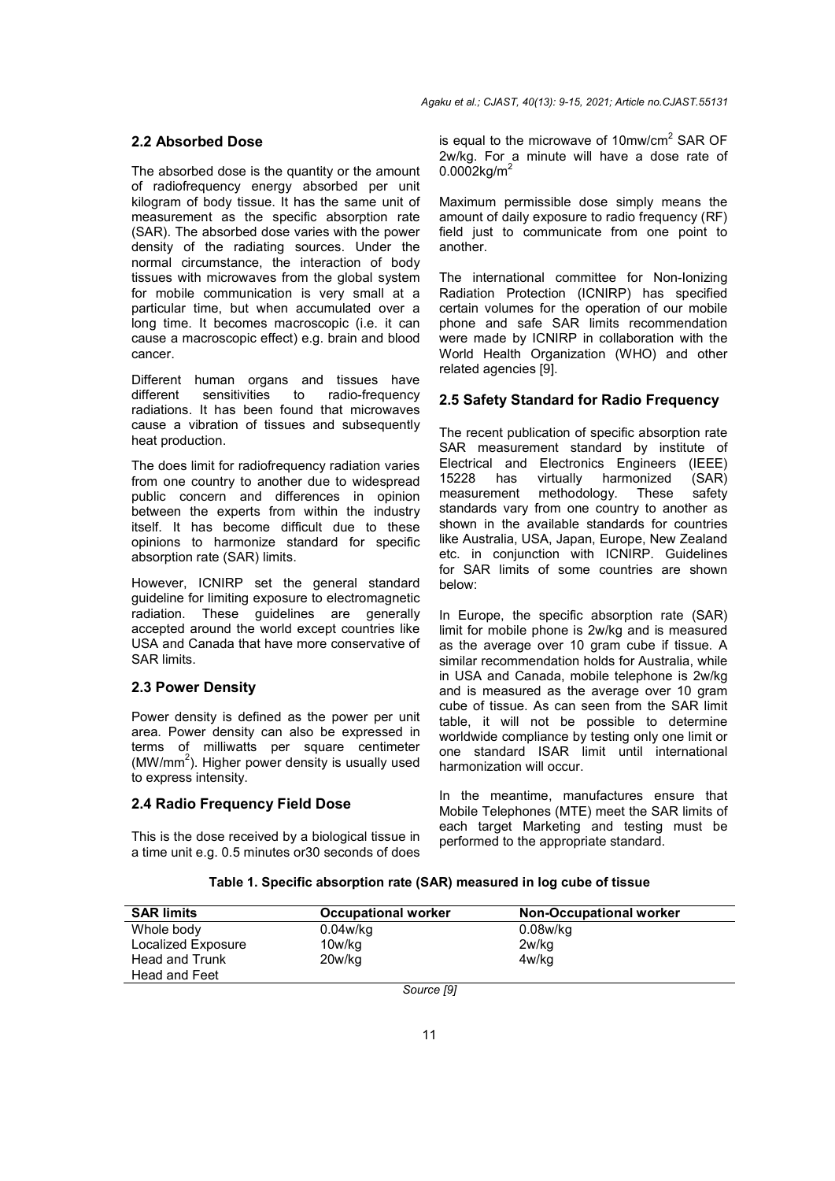#### **2.2 Absorbed Dose**

The absorbed dose is the quantity or the amount of radiofrequency energy absorbed per unit kilogram of body tissue. It has the same unit of measurement as the specific absorption rate (SAR). The absorbed dose varies with the power density of the radiating sources. Under the normal circumstance, the interaction of body tissues with microwaves from the global system for mobile communication is very small at a particular time, but when accumulated over a long time. It becomes macroscopic (i.e. it can cause a macroscopic effect) e.g. brain and blood cancer.

Different human organs and tissues have<br>different sensitivities to radio-frequency radio-frequency radiations. It has been found that microwaves cause a vibration of tissues and subsequently heat production.

The does limit for radiofrequency radiation varies from one country to another due to widespread public concern and differences in opinion between the experts from within the industry itself. It has become difficult due to these opinions to harmonize standard for specific absorption rate (SAR) limits.

However, ICNIRP set the general standard guideline for limiting exposure to electromagnetic radiation. These guidelines are generally accepted around the world except countries like USA and Canada that have more conservative of SAR limits.

#### **2.3 Power Density**

Power density is defined as the power per unit area. Power density can also be expressed in terms of milliwatts per square centimeter (MW/mm<sup>2</sup>). Higher power density is usually used to express intensity.

#### **2.4 Radio Frequency Field Dose**

This is the dose received by a biological tissue in a time unit e.g. 0.5 minutes or30 seconds of does

is equal to the microwave of 10mw/cm<sup>2</sup> SAR OF 2w/kg. For a minute will have a dose rate of  $0.0002$ kg/m<sup>2</sup>

Maximum permissible dose simply means the amount of daily exposure to radio frequency (RF) field just to communicate from one point to another.

The international committee for Non-Ionizing Radiation Protection (ICNIRP) has specified certain volumes for the operation of our mobile phone and safe SAR limits recommendation were made by ICNIRP in collaboration with the World Health Organization (WHO) and other related agencies [9].

#### **2.5 Safety Standard for Radio Frequency**

The recent publication of specific absorption rate SAR measurement standard by institute of Electrical and Electronics Engineers (IEEE)<br>15228 has virtually harmonized (SAR) 15228 has virtually harmonized (SAR) measurement methodology. These safety standards vary from one country to another as shown in the available standards for countries like Australia, USA, Japan, Europe, New Zealand etc. in conjunction with ICNIRP. Guidelines for SAR limits of some countries are shown below:

In Europe, the specific absorption rate (SAR) limit for mobile phone is 2w/kg and is measured as the average over 10 gram cube if tissue. A similar recommendation holds for Australia, while in USA and Canada, mobile telephone is 2w/kg and is measured as the average over 10 gram cube of tissue. As can seen from the SAR limit table, it will not be possible to determine worldwide compliance by testing only one limit or one standard ISAR limit until international harmonization will occur.

In the meantime, manufactures ensure that Mobile Telephones (MTE) meet the SAR limits of each target Marketing and testing must be performed to the appropriate standard.

# **Table 1. Specific absorption rate (SAR) measured in log cube of tissue**

| <b>SAR limits</b>  | <b>Occupational worker</b> | <b>Non-Occupational worker</b> |  |  |
|--------------------|----------------------------|--------------------------------|--|--|
| Whole body         | $0.04$ w/kq                | 0.08w/kg                       |  |  |
| Localized Exposure | 10w/kg                     | 2w/kg                          |  |  |
| Head and Trunk     | 20w/kg                     | 4w/kg                          |  |  |
| Head and Feet      |                            |                                |  |  |
|                    |                            |                                |  |  |

*Source [9]*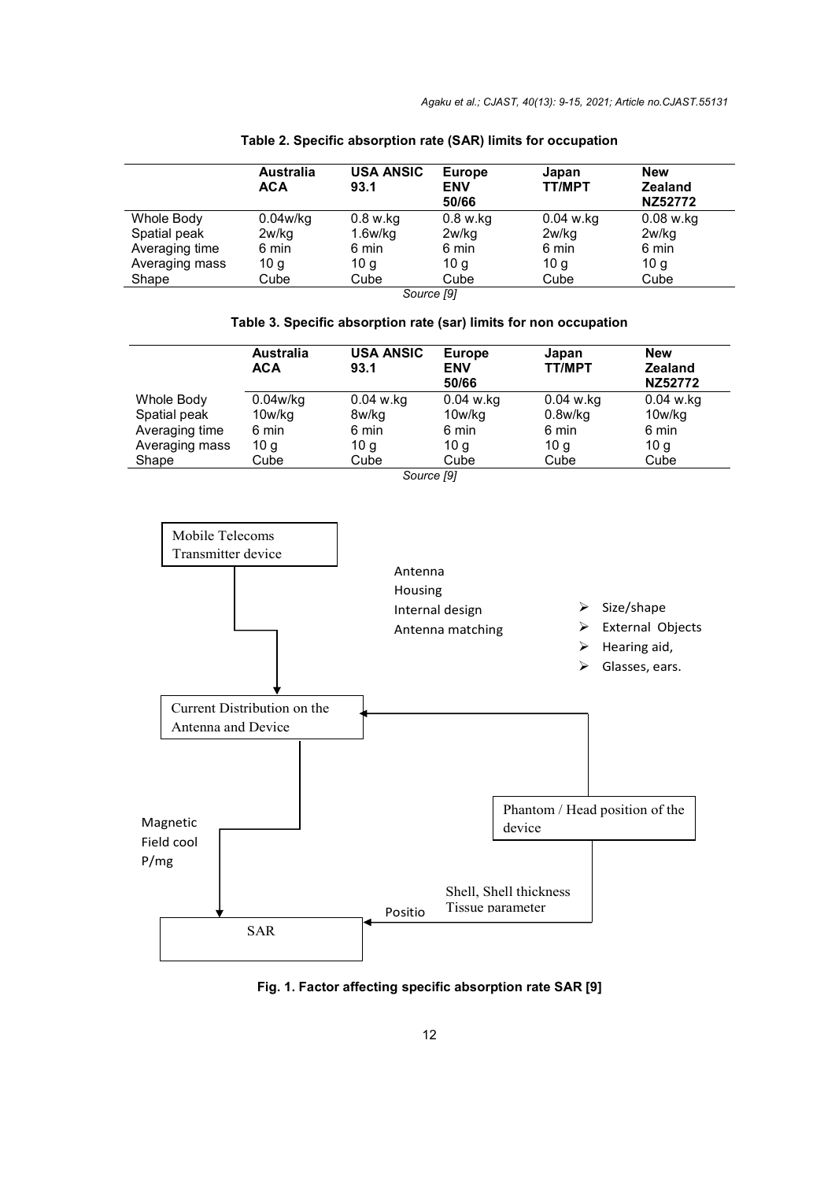|                | <b>Australia</b><br><b>ACA</b> | <b>USA ANSIC</b><br>93.1 | <b>Europe</b><br><b>ENV</b><br>50/66 | Japan<br><b>TT/MPT</b> | <b>New</b><br><b>Zealand</b><br>NZ52772 |
|----------------|--------------------------------|--------------------------|--------------------------------------|------------------------|-----------------------------------------|
| Whole Body     | $0.04$ w/kq                    | 0.8 w.kg                 | $0.8$ w.kg                           | $0.04$ w.kg            | $0.08$ w.kg                             |
| Spatial peak   | 2w/kg                          | $1.6$ w/kg               | 2w/kg                                | 2w/kg                  | 2w/kg                                   |
| Averaging time | 6 min                          | 6 min                    | 6 min                                | 6 min                  | 6 min                                   |
| Averaging mass | 10 g                           | 10 <sub>g</sub>          | 10 <sub>q</sub>                      | 10 <sub>q</sub>        | 10 <sub>g</sub>                         |
| Shape          | Cube                           | Cube                     | Cube                                 | Cube                   | Cube                                    |
| Source [9]     |                                |                          |                                      |                        |                                         |

## **Table 2. Specific absorption rate (SAR) limits for occupation**

## **Table 3. Specific absorption rate (sar) limits for non occupation**

|                | <b>Australia</b> | <b>USA ANSIC</b> | <b>Europe</b> | Japan           | <b>New</b>     |
|----------------|------------------|------------------|---------------|-----------------|----------------|
|                | <b>ACA</b>       | 93.1             | <b>ENV</b>    | <b>TT/MPT</b>   | <b>Zealand</b> |
|                |                  |                  | 50/66         |                 | NZ52772        |
| Whole Body     | 0.04w/kg         | $0.04$ w.kg      | $0.04$ w.kg   | $0.04$ w.kg     | $0.04$ w.kg    |
| Spatial peak   | 10w/kg           | 8w/kg            | 10w/kg        | $0.8$ w/kq      | 10w/kg         |
| Averaging time | 6 min            | 6 min            | 6 min         | 6 min           | 6 min          |
| Averaging mass | 10 g             | 10 <sub>q</sub>  | 10 g          | 10 <sub>g</sub> | 10 g           |
| Shape          | Cube             | Cube             | Cube          | Cube            | Cube           |
|                |                  | Source [9]       |               |                 |                |



**Fig. 1. Factor affecting specific absorption rate SAR [9]**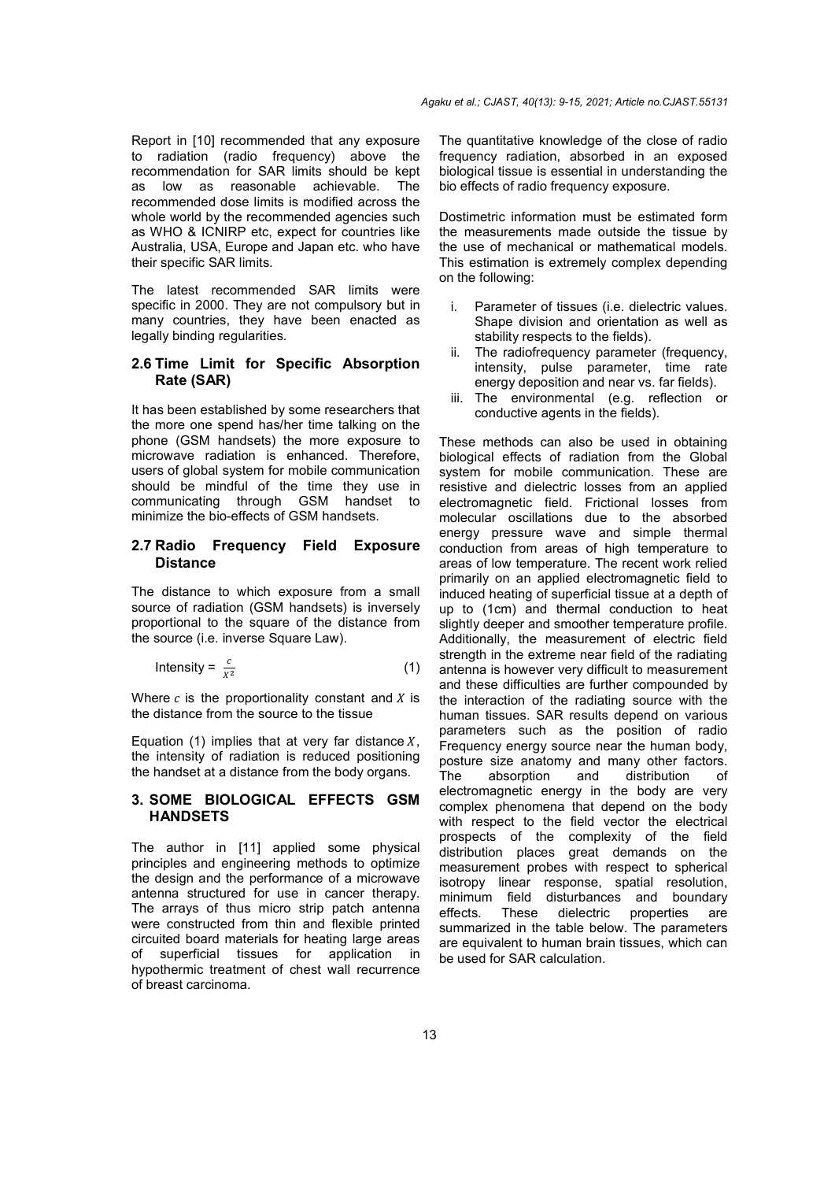Report in [10] recommended that any exposure to radiation (radio frequency) above the recommendation for SAR limits should be kept as low as reasonable achievable. The recommended dose limits is modified across the whole world by the recommended agencies such as WHO & ICNIRP etc, expect for countries like Australia, USA, Europe and Japan etc. who have their specific SAR limits.

The latest recommended SAR limits were specific in 2000. They are not compulsory but in many countries, they have been enacted as legally binding regularities.

# **2.6 Time Limit for Specific Absorption Rate (SAR)**

It has been established by some researchers that the more one spend has/her time talking on the phone (GSM handsets) the more exposure to microwave radiation is enhanced. Therefore, users of global system for mobile communication should be mindful of the time they use in communicating through GSM handset to minimize the bio-effects of GSM handsets.

#### **2.7 Radio Frequency Field Exposure Distance**

The distance to which exposure from a small source of radiation (GSM handsets) is inversely proportional to the square of the distance from the source (i.e. inverse Square Law).

$$
Intensity = \frac{c}{x^2} \tag{1}
$$

Where  $c$  is the proportionality constant and  $X$  is the distance from the source to the tissue

Equation (1) implies that at very far distance  $X$ , the intensity of radiation is reduced positioning the handset at a distance from the body organs.

#### **3. SOME BIOLOGICAL EFFECTS GSM HANDSETS**

The author in [11] applied some physical principles and engineering methods to optimize the design and the performance of a microwave antenna structured for use in cancer therapy. The arrays of thus micro strip patch antenna were constructed from thin and flexible printed circuited board materials for heating large areas of superficial tissues for application in hypothermic treatment of chest wall recurrence of breast carcinoma.

The quantitative knowledge of the close of radio frequency radiation, absorbed in an exposed biological tissue is essential in understanding the bio effects of radio frequency exposure.

Dostimetric information must be estimated form the measurements made outside the tissue by the use of mechanical or mathematical models. This estimation is extremely complex depending on the following:

- i. Parameter of tissues (i.e. dielectric values. Shape division and orientation as well as stability respects to the fields).
- ii. The radiofrequency parameter (frequency, intensity, pulse parameter, time rate energy deposition and near vs. far fields).
- iii. The environmental (e.g. reflection or conductive agents in the fields).

These methods can also be used in obtaining biological effects of radiation from the Global system for mobile communication. These are resistive and dielectric losses from an applied electromagnetic field. Frictional losses from molecular oscillations due to the absorbed energy pressure wave and simple thermal conduction from areas of high temperature to areas of low temperature. The recent work relied primarily on an applied electromagnetic field to induced heating of superficial tissue at a depth of up to (1cm) and thermal conduction to heat slightly deeper and smoother temperature profile. Additionally, the measurement of electric field strength in the extreme near field of the radiating antenna is however very difficult to measurement and these difficulties are further compounded by the interaction of the radiating source with the human tissues. SAR results depend on various parameters such as the position of radio Frequency energy source near the human body, posture size anatomy and many other factors. The absorption and distribution of electromagnetic energy in the body are very complex phenomena that depend on the body with respect to the field vector the electrical prospects of the complexity of the field distribution places great demands on the measurement probes with respect to spherical isotropy linear response, spatial resolution, minimum field disturbances and boundary effects. These dielectric properties are summarized in the table below. The parameters are equivalent to human brain tissues, which can be used for SAR calculation.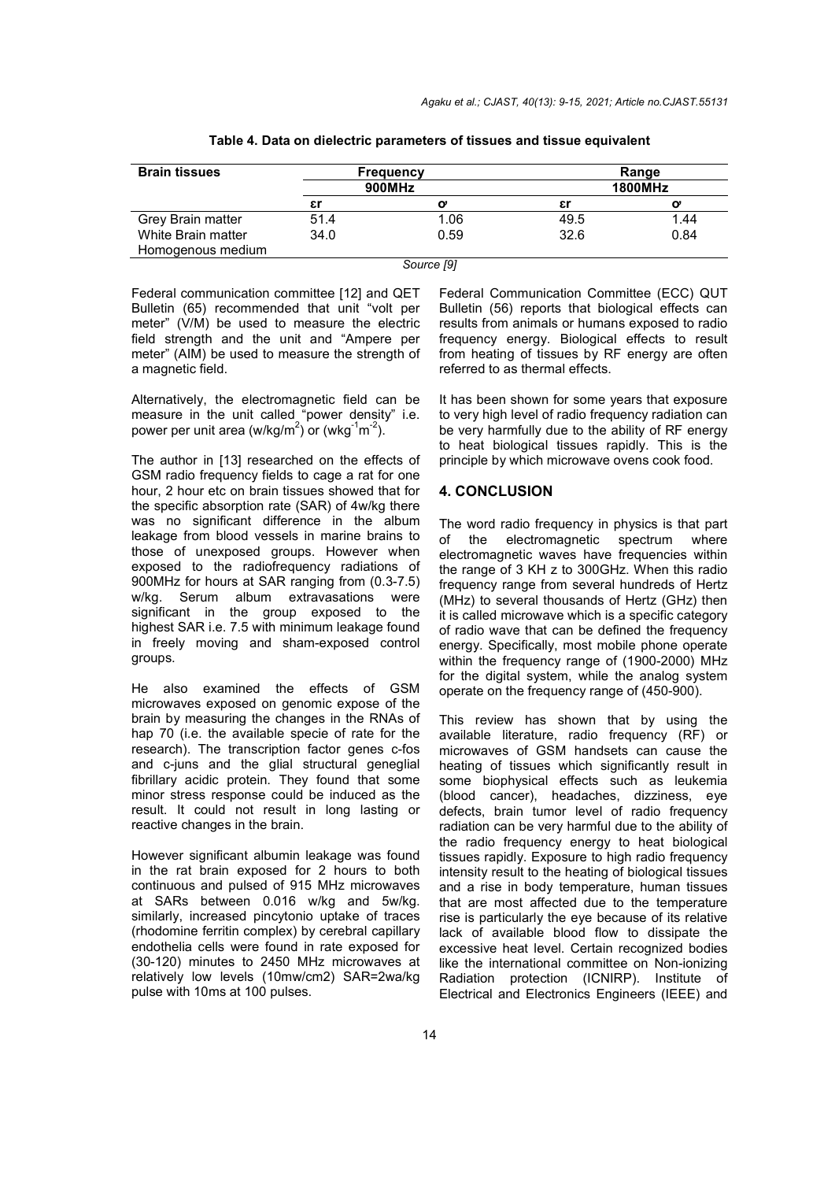| <b>Brain tissues</b> |        | <b>Frequency</b> |      | Range          |
|----------------------|--------|------------------|------|----------------|
|                      | 900MHz |                  |      | <b>1800MHz</b> |
|                      | εr     |                  | εr   | o              |
| Grey Brain matter    | 51.4   | 1.06             | 49.5 | 1.44           |
| White Brain matter   | 34.0   | 0.59             | 32.6 | 0.84           |
| Homogenous medium    |        |                  |      |                |
|                      |        | Source [9]       |      |                |

| Table 4. Data on dielectric parameters of tissues and tissue equivalent |  |
|-------------------------------------------------------------------------|--|
|-------------------------------------------------------------------------|--|

Federal communication committee [12] and QET Bulletin (65) recommended that unit "volt per meter" (V/M) be used to measure the electric field strength and the unit and "Ampere per meter" (AIM) be used to measure the strength of a magnetic field.

Alternatively, the electromagnetic field can be measure in the unit called "power density" i.e. power per unit area (w/kg/m<sup>2</sup>) or (wkg<sup>-1</sup>m<sup>-2</sup>).

The author in [13] researched on the effects of GSM radio frequency fields to cage a rat for one hour, 2 hour etc on brain tissues showed that for the specific absorption rate (SAR) of 4w/kg there was no significant difference in the album leakage from blood vessels in marine brains to those of unexposed groups. However when exposed to the radiofrequency radiations of 900MHz for hours at SAR ranging from (0.3-7.5) w/kg. Serum album extravasations were significant in the group exposed to the highest SAR i.e. 7.5 with minimum leakage found in freely moving and sham-exposed control groups.

He also examined the effects of GSM microwaves exposed on genomic expose of the brain by measuring the changes in the RNAs of hap 70 (i.e. the available specie of rate for the research). The transcription factor genes c-fos and c-juns and the glial structural geneglial fibrillary acidic protein. They found that some minor stress response could be induced as the result. It could not result in long lasting or reactive changes in the brain.

However significant albumin leakage was found in the rat brain exposed for 2 hours to both continuous and pulsed of 915 MHz microwaves at SARs between 0.016 w/kg and 5w/kg. similarly, increased pincytonio uptake of traces (rhodomine ferritin complex) by cerebral capillary endothelia cells were found in rate exposed for (30-120) minutes to 2450 MHz microwaves at relatively low levels (10mw/cm2) SAR=2wa/kg pulse with 10ms at 100 pulses.

Federal Communication Committee (ECC) QUT Bulletin (56) reports that biological effects can results from animals or humans exposed to radio frequency energy. Biological effects to result from heating of tissues by RF energy are often referred to as thermal effects.

It has been shown for some years that exposure to very high level of radio frequency radiation can be very harmfully due to the ability of RF energy to heat biological tissues rapidly. This is the principle by which microwave ovens cook food.

#### **4. CONCLUSION**

The word radio frequency in physics is that part the electromagnetic spectrum where electromagnetic waves have frequencies within the range of 3 KH z to 300GHz. When this radio frequency range from several hundreds of Hertz (MHz) to several thousands of Hertz (GHz) then it is called microwave which is a specific category of radio wave that can be defined the frequency energy. Specifically, most mobile phone operate within the frequency range of (1900-2000) MHz for the digital system, while the analog system operate on the frequency range of (450-900).

This review has shown that by using the available literature, radio frequency (RF) or microwaves of GSM handsets can cause the heating of tissues which significantly result in some biophysical effects such as leukemia (blood cancer), headaches, dizziness, eye defects, brain tumor level of radio frequency radiation can be very harmful due to the ability of the radio frequency energy to heat biological tissues rapidly. Exposure to high radio frequency intensity result to the heating of biological tissues and a rise in body temperature, human tissues that are most affected due to the temperature rise is particularly the eye because of its relative lack of available blood flow to dissipate the excessive heat level. Certain recognized bodies like the international committee on Non-ionizing Radiation protection (ICNIRP). Institute of Electrical and Electronics Engineers (IEEE) and